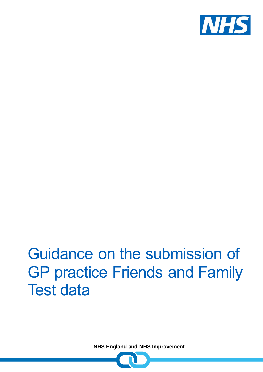

# Guidance on the submission of GP practice Friends and Family Test data

**NHS England and NHS Improvement**

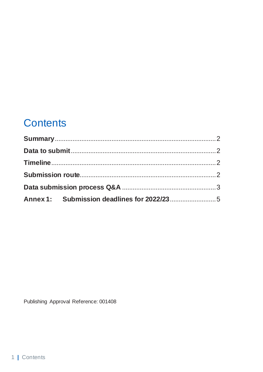# **Contents**

Publishing Approval Reference: 001408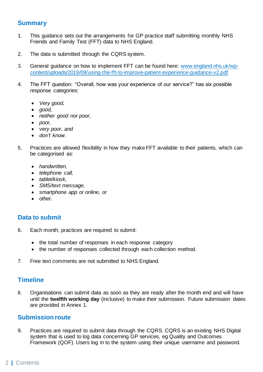# <span id="page-2-0"></span>**Summary**

- 1. This guidance sets out the arrangements for GP practice staff submitting monthly NHS Friends and Family Test (FFT) data to NHS England.
- 2. The data is submitted through the CQRS system.
- 3. General guidance on how to implement FFT can be found here: [www.england.nhs.uk/wp](http://www.england.nhs.uk/wp-content/uploads/2019/09/using-the-fft-to-improve-patient-experience-guidance-v2.pdf)[content/uploads/2019/09/using-the-fft-to-improve-patient-experience-guidance-v2.pdf](http://www.england.nhs.uk/wp-content/uploads/2019/09/using-the-fft-to-improve-patient-experience-guidance-v2.pdf)
- 4. The FFT question: "Overall, how was your experience of our service?" has six possible response categories:
	- *Very good,*
	- *good,*
	- *neither good nor poor,*
	- *poor,*
	- *very poor, and*
	- *don't know.*
- 5. Practices are allowed flexibility in how they make FFT available to their patients, which can be categorised as:
	- *handwritten,*
	- *telephone call,*
	- *tablet/kiosk,*
	- *SMS/text message,*
	- *smartphone app or online, or*
	- *other.*

# <span id="page-2-1"></span>**Data to submit**

- 6. Each month, practices are required to submit:
	- the total number of responses in each response category
	- the number of responses collected through each collection method.
- 7. Free text comments are not submitted to NHS England.

# <span id="page-2-2"></span>**Timeline**

8. Organisations can submit data as soon as they are ready after the month end and will have until the **twelfth working day** (inclusive) to make their submission. Future submission dates are provided in Annex 1.

### <span id="page-2-3"></span>**Submission route**

9. Practices are required to submit data through the CQRS. CQRS is an existing NHS Digital system that is used to log data concerning GP services, eg Quality and Outcomes Framework (QOF). Users log in to the system using their unique username and password.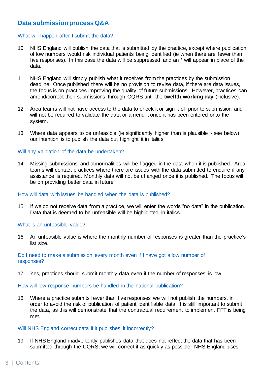# <span id="page-3-0"></span>**Data submission process Q&A**

#### What will happen after I submit the data?

- 10. NHS England will publish the data that is submitted by the practice, except where publication of low numbers would risk individual patients being identified (ie when there are fewer than five responses). In this case the data will be suppressed and an \* will appear in place of the data.
- 11. NHS England will simply publish what it receives from the practices by the submission deadline. Once published there will be no provision to revise data, if there are data issues, the focus is on practices improving the quality of future submissions. However, practices can amend/correct their submissions through CQRS until the **twelfth working day** (inclusive).
- 12. Area teams will not have access to the data to check it or sign it off prior to submission and will not be required to validate the data or amend it once it has been entered onto the system.
- 13. Where data appears to be unfeasible (ie significantly higher than is plausible see below), our intention is to publish the data but highlight it in italics.

#### Will any validation of the data be undertaken?

14. Missing submissions and abnormalities will be flagged in the data when it is published. Area teams will contact practices where there are issues with the data submitted to enquire if any assistance is required. Monthly data will not be changed once it is published. The focus will be on providing better data in future.

#### How will data with issues be handled when the data is published?

15. If we do not receive data from a practice, we will enter the words "no data" in the publication. Data that is deemed to be unfeasible will be highlighted in italics.

#### What is an unfeasible value?

16. An unfeasible value is where the monthly number of responses is greater than the practice's list size.

Do I need to make a submission every month even if I have got a low number of responses?

17. Yes, practices should submit monthly data even if the number of responses is low.

How will low response numbers be handled in the national publication?

18. Where a practice submits fewer than five responses we will not publish the numbers, in order to avoid the risk of publication of patient identifiable data. It is still important to submit the data, as this will demonstrate that the contractual requirement to implement FFT is being met.

#### Will NHS England correct data if it publishes it incorrectly?

19. If NHS England inadvertently publishes data that does not reflect the data that has been submitted through the CQRS, we will correct it as quickly as possible. NHS England uses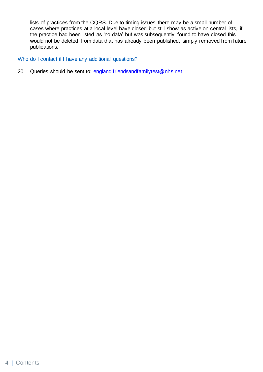lists of practices from the CQRS. Due to timing issues there may be a small number of cases where practices at a local level have closed but still show as active on central lists, if the practice had been listed as 'no data' but was subsequently found to have closed this would not be deleted from data that has already been published, simply removed from future publications.

Who do I contact if I have any additional questions?

20. Queries should be sent to: [england.friendsandfamilytest@nhs.net](mailto:england.friendsandfamilytest@nhs.net)